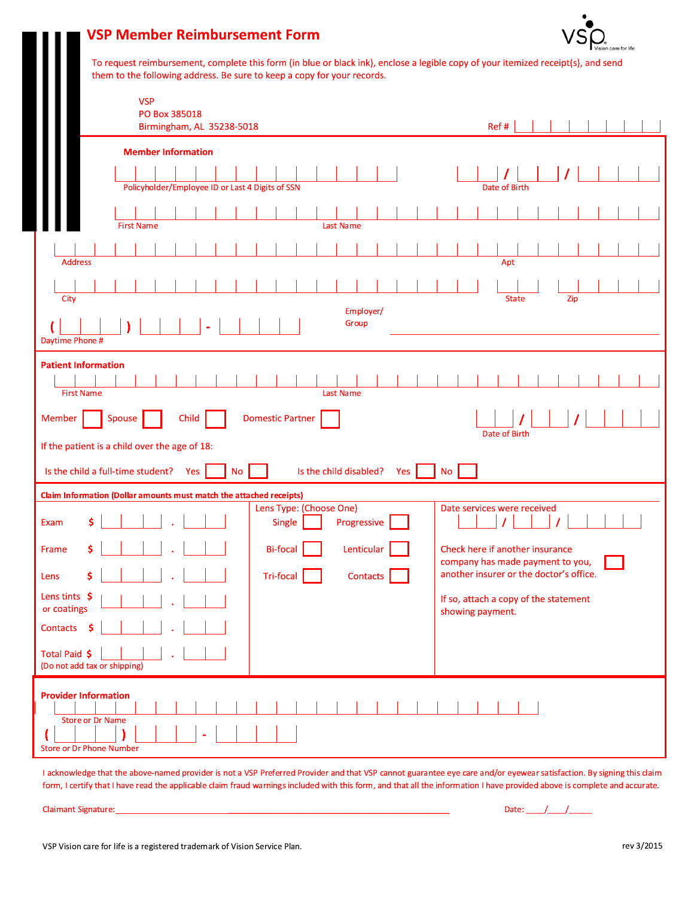|                                                                                                                                                                                                                                                                                               |                                                                                           | <b>VSP Member Reimbursement Form</b><br>them to the following address. Be sure to keep a copy for your records. |                 |                    | Vision care for life<br>To request reimbursement, complete this form (in blue or black ink), enclose a legible copy of your itemized receipt(s), and send |
|-----------------------------------------------------------------------------------------------------------------------------------------------------------------------------------------------------------------------------------------------------------------------------------------------|-------------------------------------------------------------------------------------------|-----------------------------------------------------------------------------------------------------------------|-----------------|--------------------|-----------------------------------------------------------------------------------------------------------------------------------------------------------|
|                                                                                                                                                                                                                                                                                               |                                                                                           | <b>VSP</b>                                                                                                      |                 |                    |                                                                                                                                                           |
|                                                                                                                                                                                                                                                                                               |                                                                                           | PO Box 385018<br>Birmingham, AL 35238-5018                                                                      |                 | Ref#               |                                                                                                                                                           |
|                                                                                                                                                                                                                                                                                               |                                                                                           | <b>Member Information</b>                                                                                       |                 |                    |                                                                                                                                                           |
|                                                                                                                                                                                                                                                                                               |                                                                                           |                                                                                                                 |                 |                    |                                                                                                                                                           |
|                                                                                                                                                                                                                                                                                               |                                                                                           | Policyholder/Employee ID or Last 4 Digits of SSN                                                                |                 |                    | Date of Birth                                                                                                                                             |
|                                                                                                                                                                                                                                                                                               |                                                                                           | <b>First Name</b>                                                                                               |                 | <b>Last Name</b>   |                                                                                                                                                           |
|                                                                                                                                                                                                                                                                                               |                                                                                           |                                                                                                                 |                 |                    |                                                                                                                                                           |
|                                                                                                                                                                                                                                                                                               | <b>Address</b>                                                                            |                                                                                                                 |                 |                    | Apt                                                                                                                                                       |
|                                                                                                                                                                                                                                                                                               | City                                                                                      |                                                                                                                 |                 |                    | Zip<br><b>State</b>                                                                                                                                       |
|                                                                                                                                                                                                                                                                                               | Daytime Phone #                                                                           |                                                                                                                 |                 | Employer/<br>Group |                                                                                                                                                           |
|                                                                                                                                                                                                                                                                                               | <b>Patient Information</b><br><b>First Name</b>                                           |                                                                                                                 |                 | <b>Last Name</b>   |                                                                                                                                                           |
|                                                                                                                                                                                                                                                                                               | Member                                                                                    | <b>Domestic Partner</b><br>Spouse<br>Child<br>Date of Birth                                                     |                 |                    |                                                                                                                                                           |
| If the patient is a child over the age of 18:<br>Is the child a full-time student? Yes<br>Is the child disabled?<br>$\overline{\phantom{a}}$ No<br>Yes<br>No<br>Claim Information (Dollar amounts must match the attached receipts)<br>Lens Type: (Choose One)<br>Date services were received |                                                                                           |                                                                                                                 |                 |                    |                                                                                                                                                           |
|                                                                                                                                                                                                                                                                                               |                                                                                           |                                                                                                                 |                 |                    |                                                                                                                                                           |
|                                                                                                                                                                                                                                                                                               |                                                                                           |                                                                                                                 |                 |                    |                                                                                                                                                           |
|                                                                                                                                                                                                                                                                                               | \$<br>Exam                                                                                |                                                                                                                 | Single          | Progressive        | $\prime$                                                                                                                                                  |
|                                                                                                                                                                                                                                                                                               | \$<br>Frame                                                                               |                                                                                                                 | <b>Bi-focal</b> | Lenticular         | Check here if another insurance<br>company has made payment to you,                                                                                       |
|                                                                                                                                                                                                                                                                                               | \$<br>Lens                                                                                |                                                                                                                 | Tri-focal       | Contacts           | another insurer or the doctor's office.                                                                                                                   |
|                                                                                                                                                                                                                                                                                               | Lens tints $\frac{1}{2}$<br>or coatings                                                   |                                                                                                                 |                 |                    | If so, attach a copy of the statement<br>showing payment.                                                                                                 |
|                                                                                                                                                                                                                                                                                               | Contacts \$                                                                               |                                                                                                                 |                 |                    |                                                                                                                                                           |
|                                                                                                                                                                                                                                                                                               | Total Paid \$<br>(Do not add tax or shipping)                                             |                                                                                                                 |                 |                    |                                                                                                                                                           |
|                                                                                                                                                                                                                                                                                               | <b>Provider Information</b><br><b>Store or Dr Name</b><br><b>Store or Dr Phone Number</b> |                                                                                                                 |                 |                    |                                                                                                                                                           |

I acknowledge that the above-named provider is not a VSP Preferred Provider and that VSP cannot guarantee eye care and/or eyewear satisfaction. By signing this claim form, I certify that I have read the applicable claim fraud warnings included with this form, and that all the information I have provided above is complete and accurate.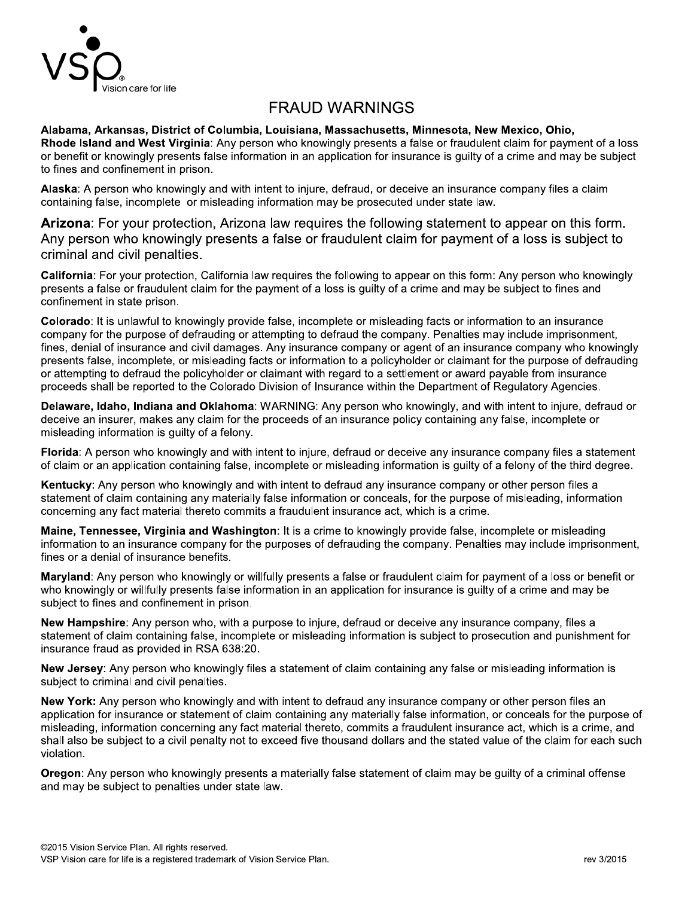

## **FRAUD WARNINGS**

Alabama, Arkansas, District of Columbia, Louisiana, Massachusetts, Minnesota, New Mexico, Ohio, Rhode Island and West Virginia: Any person who knowingly presents a false or fraudulent claim for payment of a loss or benefit or knowingly presents false information in an application for insurance is quilty of a crime and may be subject to fines and confinement in prison.

Alaska: A person who knowingly and with intent to injure, defraud, or deceive an insurance company files a claim containing false, incomplete or misleading information may be prosecuted under state law.

Arizona: For your protection, Arizona law requires the following statement to appear on this form. Any person who knowingly presents a false or fraudulent claim for payment of a loss is subject to criminal and civil penalties.

California: For your protection, California law requires the following to appear on this form: Any person who knowingly presents a false or fraudulent claim for the payment of a loss is guilty of a crime and may be subject to fines and confinement in state prison.

Colorado: It is unlawful to knowingly provide false, incomplete or misleading facts or information to an insurance company for the purpose of defrauding or attempting to defraud the company. Penalties may include imprisonment, fines, denial of insurance and civil damages. Any insurance company or agent of an insurance company who knowingly presents false, incomplete, or misleading facts or information to a policyholder or claimant for the purpose of defrauding or attempting to defraud the policyholder or claimant with regard to a settlement or award payable from insurance proceeds shall be reported to the Colorado Division of Insurance within the Department of Regulatory Agencies.

Delaware, Idaho, Indiana and Oklahoma: WARNING: Any person who knowingly, and with intent to injure, defraud or deceive an insurer, makes any claim for the proceeds of an insurance policy containing any false, incomplete or misleading information is quilty of a felony.

Florida: A person who knowingly and with intent to injure, defraud or deceive any insurance company files a statement of claim or an application containing false, incomplete or misleading information is quilty of a felony of the third degree.

Kentucky: Any person who knowingly and with intent to defraud any insurance company or other person files a statement of claim containing any materially false information or conceals, for the purpose of misleading, information concerning any fact material thereto commits a fraudulent insurance act, which is a crime.

Maine, Tennessee, Virginia and Washington: It is a crime to knowingly provide false, incomplete or misleading information to an insurance company for the purposes of defrauding the company. Penalties may include imprisonment, fines or a denial of insurance benefits.

Maryland: Any person who knowingly or willfully presents a false or fraudulent claim for payment of a loss or benefit or who knowingly or willfully presents false information in an application for insurance is guilty of a crime and may be subject to fines and confinement in prison.

New Hampshire: Any person who, with a purpose to injure, defraud or deceive any insurance company, files a statement of claim containing false, incomplete or misleading information is subject to prosecution and punishment for insurance fraud as provided in RSA 638:20.

New Jersey: Any person who knowingly files a statement of claim containing any false or misleading information is subject to criminal and civil penalties.

New York: Any person who knowingly and with intent to defraud any insurance company or other person files an application for insurance or statement of claim containing any materially false information, or conceals for the purpose of misleading, information concerning any fact material thereto, commits a fraudulent insurance act, which is a crime, and shall also be subject to a civil penalty not to exceed five thousand dollars and the stated value of the claim for each such violation.

Oregon: Any person who knowingly presents a materially false statement of claim may be guilty of a criminal offense and may be subject to penalties under state law.